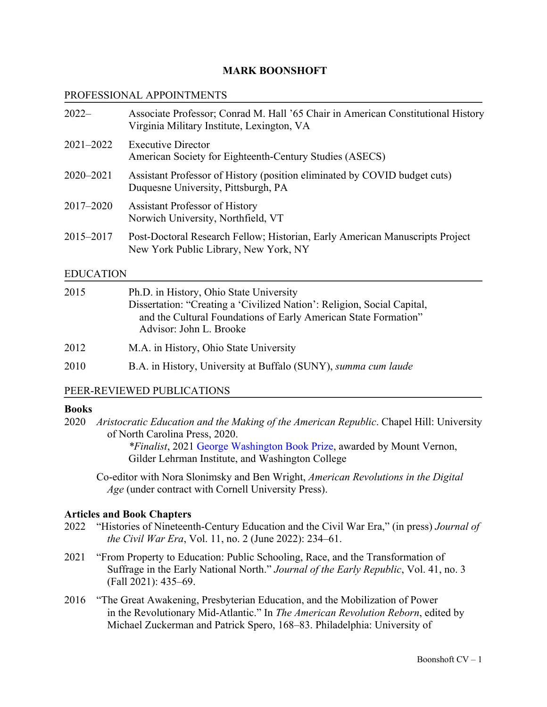## **MARK BOONSHOFT**

### PROFESSIONAL APPOINTMENTS

| $2022-$       | Associate Professor; Conrad M. Hall '65 Chair in American Constitutional History<br>Virginia Military Institute, Lexington, VA |
|---------------|--------------------------------------------------------------------------------------------------------------------------------|
| $2021 - 2022$ | <b>Executive Director</b><br>American Society for Eighteenth-Century Studies (ASECS)                                           |
| $2020 - 2021$ | Assistant Professor of History (position eliminated by COVID budget cuts)<br>Duquesne University, Pittsburgh, PA               |
| 2017–2020     | <b>Assistant Professor of History</b><br>Norwich University, Northfield, VT                                                    |
| 2015–2017     | Post-Doctoral Research Fellow; Historian, Early American Manuscripts Project<br>New York Public Library, New York, NY          |

### EDUCATION

| 2015 | Ph.D. in History, Ohio State University<br>Dissertation: "Creating a 'Civilized Nation': Religion, Social Capital,<br>and the Cultural Foundations of Early American State Formation"<br>Advisor: John L. Brooke |  |
|------|------------------------------------------------------------------------------------------------------------------------------------------------------------------------------------------------------------------|--|
| 2012 | M.A. in History, Ohio State University                                                                                                                                                                           |  |
| 2010 | B.A. in History, University at Buffalo (SUNY), summa cum laude                                                                                                                                                   |  |

## PEER-REVIEWED PUBLICATIONS

## **Books**

2020 *Aristocratic Education and the Making of the American Republic*. Chapel Hill: University of North Carolina Press, 2020.

> *\*Finalist*, 2021 George Washington Book Prize, awarded by Mount Vernon, Gilder Lehrman Institute, and Washington College

Co-editor with Nora Slonimsky and Ben Wright, *American Revolutions in the Digital Age* (under contract with Cornell University Press).

#### **Articles and Book Chapters**

- 2022 "Histories of Nineteenth-Century Education and the Civil War Era," (in press) *Journal of the Civil War Era*, Vol. 11, no. 2 (June 2022): 234–61.
- 2021 "From Property to Education: Public Schooling, Race, and the Transformation of Suffrage in the Early National North." *Journal of the Early Republic*, Vol. 41, no. 3 (Fall 2021): 435–69.
- 2016 "The Great Awakening, Presbyterian Education, and the Mobilization of Power in the Revolutionary Mid-Atlantic." In *The American Revolution Reborn*, edited by Michael Zuckerman and Patrick Spero, 168–83. Philadelphia: University of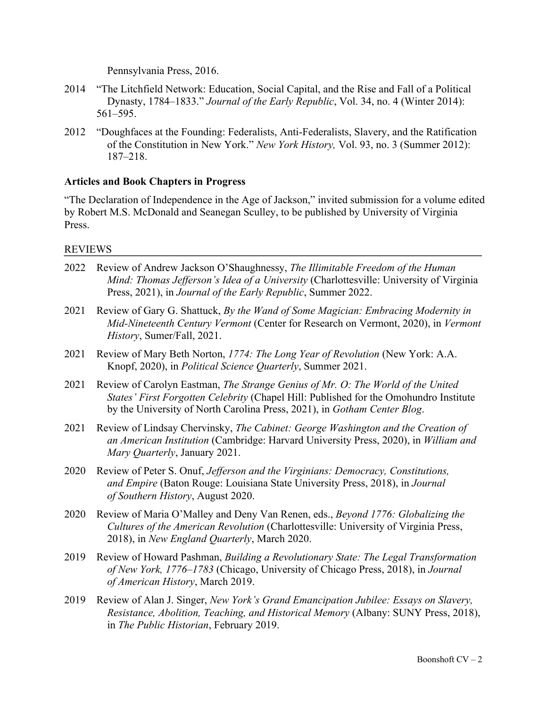Pennsylvania Press, 2016.

- 2014 "The Litchfield Network: Education, Social Capital, and the Rise and Fall of a Political Dynasty, 1784–1833." *Journal of the Early Republic*, Vol. 34, no. 4 (Winter 2014): 561–595.
- 2012 "Doughfaces at the Founding: Federalists, Anti-Federalists, Slavery, and the Ratification of the Constitution in New York." *New York History,* Vol. 93, no. 3 (Summer 2012): 187–218.

### **Articles and Book Chapters in Progress**

"The Declaration of Independence in the Age of Jackson," invited submission for a volume edited by Robert M.S. McDonald and Seanegan Sculley, to be published by University of Virginia Press.

#### REVIEWS

- 2022 Review of Andrew Jackson O'Shaughnessy, *The Illimitable Freedom of the Human Mind: Thomas Jefferson's Idea of a University* (Charlottesville: University of Virginia Press, 2021), in *Journal of the Early Republic*, Summer 2022.
- 2021 Review of Gary G. Shattuck, *By the Wand of Some Magician: Embracing Modernity in Mid-Nineteenth Century Vermont* (Center for Research on Vermont, 2020), in *Vermont History*, Sumer/Fall, 2021.
- 2021 Review of Mary Beth Norton, *1774: The Long Year of Revolution* (New York: A.A. Knopf, 2020), in *Political Science Quarterly*, Summer 2021.
- 2021 Review of Carolyn Eastman, *The Strange Genius of Mr. O: The World of the United States' First Forgotten Celebrity* (Chapel Hill: Published for the Omohundro Institute by the University of North Carolina Press, 2021), in *Gotham Center Blog*.
- 2021 Review of Lindsay Chervinsky, *The Cabinet: George Washington and the Creation of an American Institution* (Cambridge: Harvard University Press, 2020), in *William and Mary Quarterly*, January 2021.
- 2020 Review of Peter S. Onuf, *Jefferson and the Virginians: Democracy, Constitutions, and Empire* (Baton Rouge: Louisiana State University Press, 2018), in *Journal of Southern History*, August 2020.
- 2020 Review of Maria O'Malley and Deny Van Renen, eds., *Beyond 1776: Globalizing the Cultures of the American Revolution* (Charlottesville: University of Virginia Press, 2018), in *New England Quarterly*, March 2020.
- 2019 Review of Howard Pashman, *Building a Revolutionary State: The Legal Transformation of New York, 1776–1783* (Chicago, University of Chicago Press, 2018), in *Journal of American History*, March 2019.
- 2019 Review of Alan J. Singer, *New York's Grand Emancipation Jubilee: Essays on Slavery, Resistance, Abolition, Teaching, and Historical Memory* (Albany: SUNY Press, 2018), in *The Public Historian*, February 2019.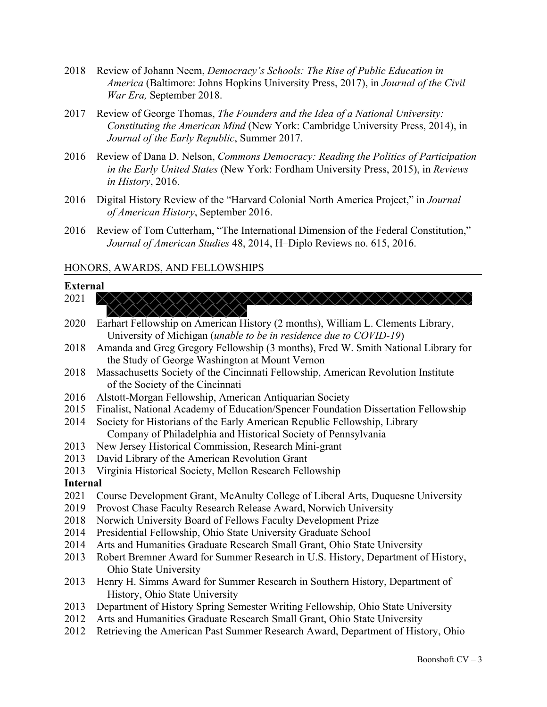- 2018 Review of Johann Neem, *Democracy's Schools: The Rise of Public Education in America* (Baltimore: Johns Hopkins University Press, 2017), in *Journal of the Civil War Era,* September 2018.
- 2017 Review of George Thomas, *The Founders and the Idea of a National University: Constituting the American Mind* (New York: Cambridge University Press, 2014), in *Journal of the Early Republic*, Summer 2017.
- 2016 Review of Dana D. Nelson, *Commons Democracy: Reading the Politics of Participation in the Early United States* (New York: Fordham University Press, 2015), in *Reviews in History*, 2016.
- 2016 Digital History Review of the "Harvard Colonial North America Project," in *Journal of American History*, September 2016.
- 2016 Review of Tom Cutterham, "The International Dimension of the Federal Constitution," *Journal of American Studies* 48, 2014, H–Diplo Reviews no. 615, 2016.

 $\wedge \wedge \wedge \wedge \wedge \wedge \wedge$ 

#### HONORS, AWARDS, AND FELLOWSHIPS

#### **External**  $2021$

| ∠∪∠ 1           | <u>AAAAAAAAAAAAAAAAAA</u>                                                          |
|-----------------|------------------------------------------------------------------------------------|
| 2020            | Earhart Fellowship on American History (2 months), William L. Clements Library,    |
|                 | University of Michigan (unable to be in residence due to COVID-19)                 |
| 2018            | Amanda and Greg Gregory Fellowship (3 months), Fred W. Smith National Library for  |
|                 | the Study of George Washington at Mount Vernon                                     |
| 2018            | Massachusetts Society of the Cincinnati Fellowship, American Revolution Institute  |
|                 | of the Society of the Cincinnati                                                   |
| 2016            | Alstott-Morgan Fellowship, American Antiquarian Society                            |
| 2015            | Finalist, National Academy of Education/Spencer Foundation Dissertation Fellowship |
| 2014            | Society for Historians of the Early American Republic Fellowship, Library          |
|                 | Company of Philadelphia and Historical Society of Pennsylvania                     |
| 2013            | New Jersey Historical Commission, Research Mini-grant                              |
| 2013            | David Library of the American Revolution Grant                                     |
| 2013            | Virginia Historical Society, Mellon Research Fellowship                            |
| <b>Internal</b> |                                                                                    |
| 2021            | Course Development Grant, McAnulty College of Liberal Arts, Duquesne University    |
| 2019            | Provost Chase Faculty Research Release Award, Norwich University                   |
| 2018            | Norwich University Board of Fellows Faculty Development Prize                      |
| 2014            | Presidential Fellowship, Ohio State University Graduate School                     |
| 2014            | Arts and Humanities Graduate Research Small Grant, Ohio State University           |
| 2013            | Robert Bremner Award for Summer Research in U.S. History, Department of History,   |
|                 | Ohio State University                                                              |
| 2013            | Henry H. Simms Award for Summer Research in Southern History, Department of        |
|                 | History, Ohio State University                                                     |
| 2013            | Department of History Spring Semester Writing Fellowship, Ohio State University    |
| 2012            | Arts and Humanities Graduate Research Small Grant, Ohio State University           |
| 2012            | Retrieving the American Past Summer Research Award, Department of History, Ohio    |
|                 |                                                                                    |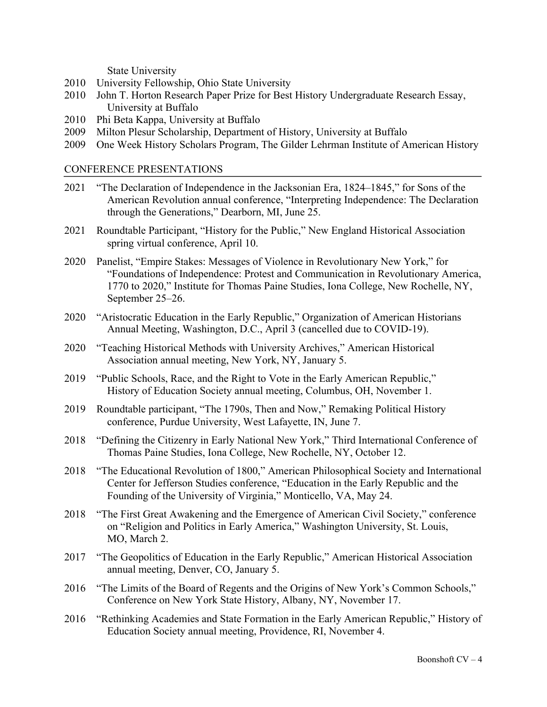State University

- 2010 University Fellowship, Ohio State University
- 2010 John T. Horton Research Paper Prize for Best History Undergraduate Research Essay, University at Buffalo
- 2010 Phi Beta Kappa, University at Buffalo
- 2009 Milton Plesur Scholarship, Department of History, University at Buffalo
- 2009 One Week History Scholars Program, The Gilder Lehrman Institute of American History

#### CONFERENCE PRESENTATIONS

- 2021 "The Declaration of Independence in the Jacksonian Era, 1824–1845," for Sons of the American Revolution annual conference, "Interpreting Independence: The Declaration through the Generations," Dearborn, MI, June 25.
- 2021 Roundtable Participant, "History for the Public," New England Historical Association spring virtual conference, April 10.
- 2020 Panelist, "Empire Stakes: Messages of Violence in Revolutionary New York," for "Foundations of Independence: Protest and Communication in Revolutionary America, 1770 to 2020," Institute for Thomas Paine Studies, Iona College, New Rochelle, NY, September 25–26.
- 2020 "Aristocratic Education in the Early Republic," Organization of American Historians Annual Meeting, Washington, D.C., April 3 (cancelled due to COVID-19).
- 2020 "Teaching Historical Methods with University Archives," American Historical Association annual meeting, New York, NY, January 5.
- 2019 "Public Schools, Race, and the Right to Vote in the Early American Republic," History of Education Society annual meeting, Columbus, OH, November 1.
- 2019 Roundtable participant, "The 1790s, Then and Now," Remaking Political History conference, Purdue University, West Lafayette, IN, June 7.
- 2018 "Defining the Citizenry in Early National New York," Third International Conference of Thomas Paine Studies, Iona College, New Rochelle, NY, October 12.
- 2018 "The Educational Revolution of 1800," American Philosophical Society and International Center for Jefferson Studies conference, "Education in the Early Republic and the Founding of the University of Virginia," Monticello, VA, May 24.
- 2018 "The First Great Awakening and the Emergence of American Civil Society," conference on "Religion and Politics in Early America," Washington University, St. Louis, MO, March 2.
- 2017 "The Geopolitics of Education in the Early Republic," American Historical Association annual meeting, Denver, CO, January 5.
- 2016 "The Limits of the Board of Regents and the Origins of New York's Common Schools," Conference on New York State History, Albany, NY, November 17.
- 2016 "Rethinking Academies and State Formation in the Early American Republic," History of Education Society annual meeting, Providence, RI, November 4.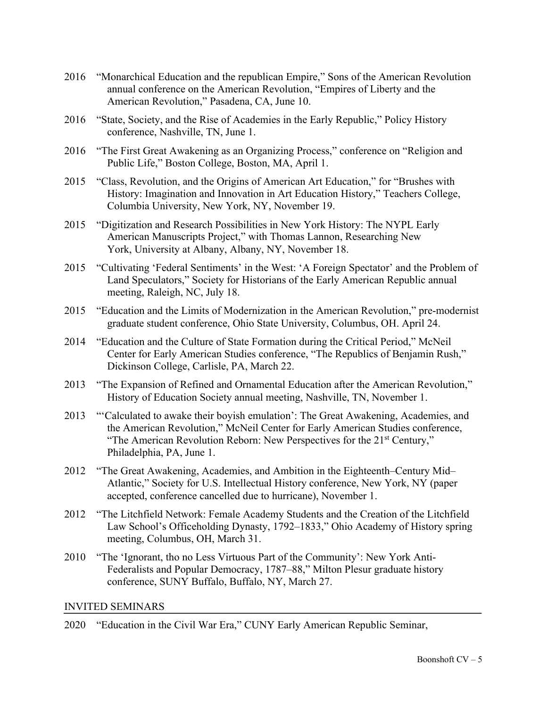- 2016 "Monarchical Education and the republican Empire," Sons of the American Revolution annual conference on the American Revolution, "Empires of Liberty and the American Revolution," Pasadena, CA, June 10.
- 2016 "State, Society, and the Rise of Academies in the Early Republic," Policy History conference, Nashville, TN, June 1.
- 2016 "The First Great Awakening as an Organizing Process," conference on "Religion and Public Life," Boston College, Boston, MA, April 1.
- 2015 "Class, Revolution, and the Origins of American Art Education," for "Brushes with History: Imagination and Innovation in Art Education History," Teachers College, Columbia University, New York, NY, November 19.
- 2015 "Digitization and Research Possibilities in New York History: The NYPL Early American Manuscripts Project," with Thomas Lannon, Researching New York, University at Albany, Albany, NY, November 18.
- 2015 "Cultivating 'Federal Sentiments' in the West: 'A Foreign Spectator' and the Problem of Land Speculators," Society for Historians of the Early American Republic annual meeting, Raleigh, NC, July 18.
- 2015 "Education and the Limits of Modernization in the American Revolution," pre-modernist graduate student conference, Ohio State University, Columbus, OH. April 24.
- 2014 "Education and the Culture of State Formation during the Critical Period," McNeil Center for Early American Studies conference, "The Republics of Benjamin Rush," Dickinson College, Carlisle, PA, March 22.
- 2013 "The Expansion of Refined and Ornamental Education after the American Revolution," History of Education Society annual meeting, Nashville, TN, November 1.
- 2013 "'Calculated to awake their boyish emulation': The Great Awakening, Academies, and the American Revolution," McNeil Center for Early American Studies conference, "The American Revolution Reborn: New Perspectives for the 21<sup>st</sup> Century," Philadelphia, PA, June 1.
- 2012 "The Great Awakening, Academies, and Ambition in the Eighteenth–Century Mid– Atlantic," Society for U.S. Intellectual History conference, New York, NY (paper accepted, conference cancelled due to hurricane), November 1.
- 2012 "The Litchfield Network: Female Academy Students and the Creation of the Litchfield Law School's Officeholding Dynasty, 1792–1833," Ohio Academy of History spring meeting, Columbus, OH, March 31.
- 2010 "The 'Ignorant, tho no Less Virtuous Part of the Community': New York Anti- Federalists and Popular Democracy, 1787–88," Milton Plesur graduate history conference, SUNY Buffalo, Buffalo, NY, March 27.

#### INVITED SEMINARS

2020 "Education in the Civil War Era," CUNY Early American Republic Seminar,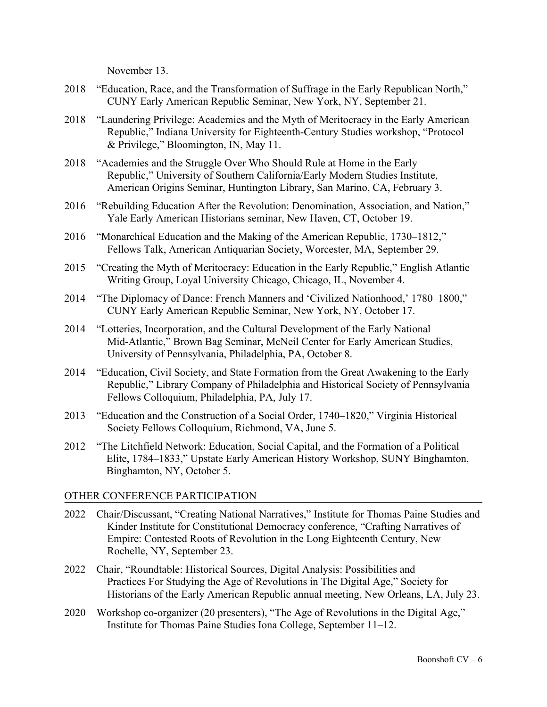November 13.

- 2018 "Education, Race, and the Transformation of Suffrage in the Early Republican North," CUNY Early American Republic Seminar, New York, NY, September 21.
- 2018 "Laundering Privilege: Academies and the Myth of Meritocracy in the Early American Republic," Indiana University for Eighteenth-Century Studies workshop, "Protocol & Privilege," Bloomington, IN, May 11.
- 2018 "Academies and the Struggle Over Who Should Rule at Home in the Early Republic," University of Southern California/Early Modern Studies Institute, American Origins Seminar, Huntington Library, San Marino, CA, February 3.
- 2016 "Rebuilding Education After the Revolution: Denomination, Association, and Nation," Yale Early American Historians seminar, New Haven, CT, October 19.
- 2016 "Monarchical Education and the Making of the American Republic, 1730–1812," Fellows Talk, American Antiquarian Society, Worcester, MA, September 29.
- 2015 "Creating the Myth of Meritocracy: Education in the Early Republic," English Atlantic Writing Group, Loyal University Chicago, Chicago, IL, November 4.
- 2014 "The Diplomacy of Dance: French Manners and 'Civilized Nationhood,' 1780–1800," CUNY Early American Republic Seminar, New York, NY, October 17.
- 2014 "Lotteries, Incorporation, and the Cultural Development of the Early National Mid-Atlantic," Brown Bag Seminar, McNeil Center for Early American Studies, University of Pennsylvania, Philadelphia, PA, October 8.
- 2014 "Education, Civil Society, and State Formation from the Great Awakening to the Early Republic," Library Company of Philadelphia and Historical Society of Pennsylvania Fellows Colloquium, Philadelphia, PA, July 17.
- 2013 "Education and the Construction of a Social Order, 1740–1820," Virginia Historical Society Fellows Colloquium, Richmond, VA, June 5.
- 2012 "The Litchfield Network: Education, Social Capital, and the Formation of a Political Elite, 1784–1833," Upstate Early American History Workshop, SUNY Binghamton, Binghamton, NY, October 5.

## OTHER CONFERENCE PARTICIPATION

- 2022 Chair/Discussant, "Creating National Narratives," Institute for Thomas Paine Studies and Kinder Institute for Constitutional Democracy conference, "Crafting Narratives of Empire: Contested Roots of Revolution in the Long Eighteenth Century, New Rochelle, NY, September 23.
- 2022 Chair, "Roundtable: Historical Sources, Digital Analysis: Possibilities and Practices For Studying the Age of Revolutions in The Digital Age," Society for Historians of the Early American Republic annual meeting, New Orleans, LA, July 23.
- 2020 Workshop co-organizer (20 presenters), "The Age of Revolutions in the Digital Age," Institute for Thomas Paine Studies Iona College, September 11–12.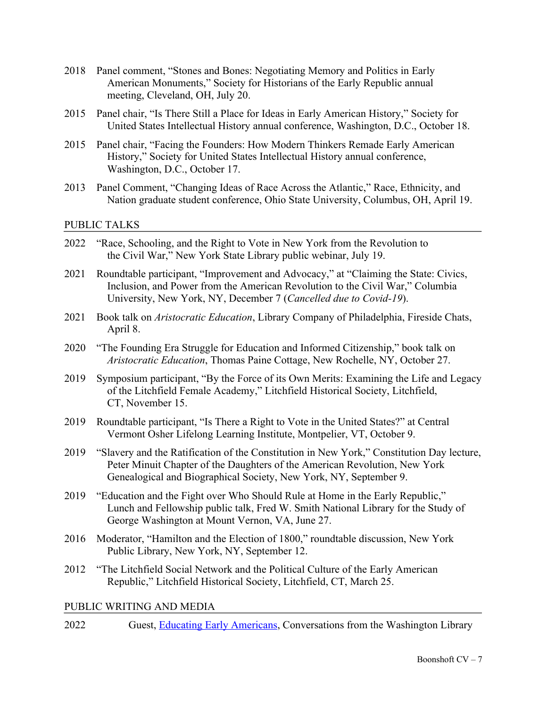- 2018 Panel comment, "Stones and Bones: Negotiating Memory and Politics in Early American Monuments," Society for Historians of the Early Republic annual meeting, Cleveland, OH, July 20.
- 2015 Panel chair, "Is There Still a Place for Ideas in Early American History," Society for United States Intellectual History annual conference, Washington, D.C., October 18.
- 2015 Panel chair, "Facing the Founders: How Modern Thinkers Remade Early American History," Society for United States Intellectual History annual conference, Washington, D.C., October 17.
- 2013 Panel Comment, "Changing Ideas of Race Across the Atlantic," Race, Ethnicity, and Nation graduate student conference, Ohio State University, Columbus, OH, April 19.

## PUBLIC TALKS

- 2022 "Race, Schooling, and the Right to Vote in New York from the Revolution to the Civil War," New York State Library public webinar, July 19.
- 2021 Roundtable participant, "Improvement and Advocacy," at "Claiming the State: Civics, Inclusion, and Power from the American Revolution to the Civil War," Columbia University, New York, NY, December 7 (*Cancelled due to Covid-19*).
- 2021 Book talk on *Aristocratic Education*, Library Company of Philadelphia, Fireside Chats, April 8.
- 2020 "The Founding Era Struggle for Education and Informed Citizenship," book talk on *Aristocratic Education*, Thomas Paine Cottage, New Rochelle, NY, October 27.
- 2019 Symposium participant, "By the Force of its Own Merits: Examining the Life and Legacy of the Litchfield Female Academy," Litchfield Historical Society, Litchfield, CT, November 15.<br>2019 Roundtable participar
- Roundtable participant, "Is There a Right to Vote in the United States?" at Central Vermont Osher Lifelong Learning Institute, Montpelier, VT, October 9.
- 2019 "Slavery and the Ratification of the Constitution in New York," Constitution Day lecture, Peter Minuit Chapter of the Daughters of the American Revolution, New York Genealogical and Biographical Society, New York, NY, September 9.
- 2019 "Education and the Fight over Who Should Rule at Home in the Early Republic," Lunch and Fellowship public talk, Fred W. Smith National Library for the Study of George Washington at Mount Vernon, VA, June 27.
- 2016 Moderator, "Hamilton and the Election of 1800," roundtable discussion, New York Public Library, New York, NY, September 12.
- 2012 "The Litchfield Social Network and the Political Culture of the Early American Republic," Litchfield Historical Society, Litchfield, CT, March 25.

#### PUBLIC WRITING AND MEDIA

2022 Guest, Educating Early Americans, Conversations from the Washington Library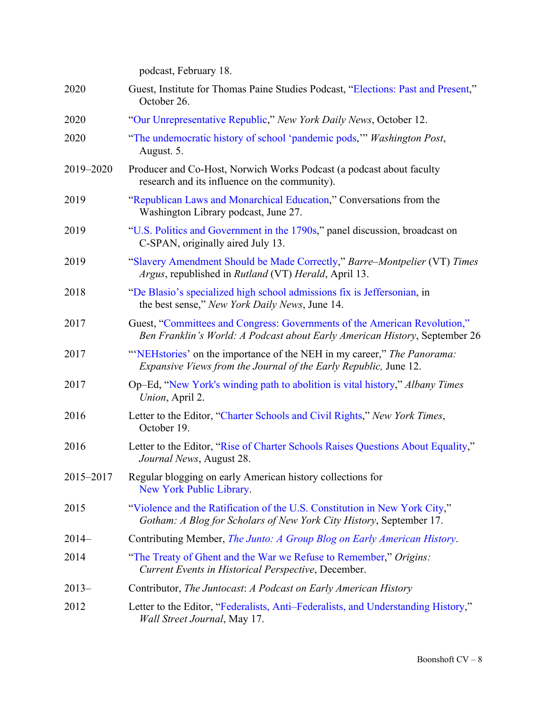|           | podcast, February 18.                                                                                                                                   |
|-----------|---------------------------------------------------------------------------------------------------------------------------------------------------------|
| 2020      | Guest, Institute for Thomas Paine Studies Podcast, "Elections: Past and Present,"<br>October 26.                                                        |
| 2020      | "Our Unrepresentative Republic," New York Daily News, October 12.                                                                                       |
| 2020      | "The undemocratic history of school 'pandemic pods," Washington Post,<br>August. 5.                                                                     |
| 2019-2020 | Producer and Co-Host, Norwich Works Podcast (a podcast about faculty<br>research and its influence on the community).                                   |
| 2019      | "Republican Laws and Monarchical Education," Conversations from the<br>Washington Library podcast, June 27.                                             |
| 2019      | "U.S. Politics and Government in the 1790s," panel discussion, broadcast on<br>C-SPAN, originally aired July 13.                                        |
| 2019      | "Slavery Amendment Should be Made Correctly," Barre–Montpelier (VT) Times<br>Argus, republished in Rutland (VT) Herald, April 13.                       |
| 2018      | "De Blasio's specialized high school admissions fix is Jeffersonian, in<br>the best sense," New York Daily News, June 14.                               |
| 2017      | Guest, "Committees and Congress: Governments of the American Revolution,"<br>Ben Franklin's World: A Podcast about Early American History, September 26 |
| 2017      | "NEHstories' on the importance of the NEH in my career," The Panorama:<br>Expansive Views from the Journal of the Early Republic, June 12.              |
| 2017      | Op–Ed, "New York's winding path to abolition is vital history," Albany Times<br>Union, April 2.                                                         |
| 2016      | Letter to the Editor, "Charter Schools and Civil Rights," New York Times,<br>October 19.                                                                |
| 2016      | Letter to the Editor, "Rise of Charter Schools Raises Questions About Equality,"<br>Journal News, August 28.                                            |
| 2015-2017 | Regular blogging on early American history collections for<br>New York Public Library.                                                                  |
| 2015      | "Violence and the Ratification of the U.S. Constitution in New York City,"<br>Gotham: A Blog for Scholars of New York City History, September 17.       |
| $2014-$   | Contributing Member, <i>The Junto: A Group Blog on Early American History</i> .                                                                         |
| 2014      | "The Treaty of Ghent and the War we Refuse to Remember," Origins:<br>Current Events in Historical Perspective, December.                                |
| $2013-$   | Contributor, The Juntocast: A Podcast on Early American History                                                                                         |
| 2012      | Letter to the Editor, "Federalists, Anti-Federalists, and Understanding History,"<br><i>Wall Street Journal</i> , May 17.                               |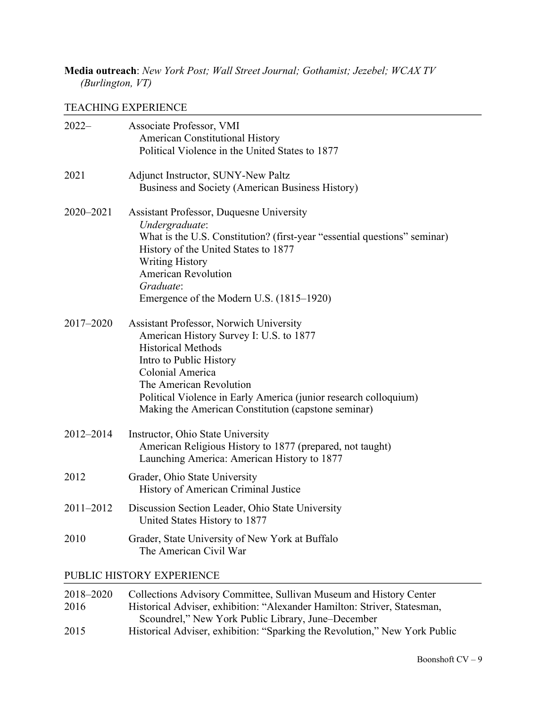## **Media outreach**: *New York Post; Wall Street Journal; Gothamist; Jezebel; WCAX TV (Burlington, VT)*

### TEACHING EXPERIENCE

| $2022-$   | Associate Professor, VMI                                                  |
|-----------|---------------------------------------------------------------------------|
|           | <b>American Constitutional History</b>                                    |
|           | Political Violence in the United States to 1877                           |
| 2021      | Adjunct Instructor, SUNY-New Paltz                                        |
|           | Business and Society (American Business History)                          |
| 2020-2021 | <b>Assistant Professor, Duquesne University</b>                           |
|           | Undergraduate:                                                            |
|           | What is the U.S. Constitution? (first-year "essential questions" seminar) |
|           | History of the United States to 1877                                      |
|           | <b>Writing History</b>                                                    |
|           | <b>American Revolution</b>                                                |
|           | Graduate:                                                                 |
|           | Emergence of the Modern U.S. (1815–1920)                                  |
| 2017-2020 | Assistant Professor, Norwich University                                   |
|           | American History Survey I: U.S. to 1877                                   |
|           | <b>Historical Methods</b>                                                 |
|           | Intro to Public History                                                   |
|           | Colonial America                                                          |
|           | The American Revolution                                                   |
|           | Political Violence in Early America (junior research colloquium)          |
|           | Making the American Constitution (capstone seminar)                       |
|           |                                                                           |
| 2012-2014 | Instructor, Ohio State University                                         |
|           | American Religious History to 1877 (prepared, not taught)                 |
|           | Launching America: American History to 1877                               |
| 2012      | Grader, Ohio State University                                             |
|           | History of American Criminal Justice                                      |
| 2011-2012 | Discussion Section Leader, Ohio State University                          |
|           | United States History to 1877                                             |
| 2010      | Grader, State University of New York at Buffalo                           |
|           | The American Civil War                                                    |
|           | PUBLIC HISTORY EXPERIENCE                                                 |
|           |                                                                           |

| 2018-2020 | Collections Advisory Committee, Sullivan Museum and History Center         |
|-----------|----------------------------------------------------------------------------|
| 2016      | Historical Adviser, exhibition: "Alexander Hamilton: Striver, Statesman,   |
|           | Scoundrel," New York Public Library, June–December                         |
| 2015      | Historical Adviser, exhibition: "Sparking the Revolution," New York Public |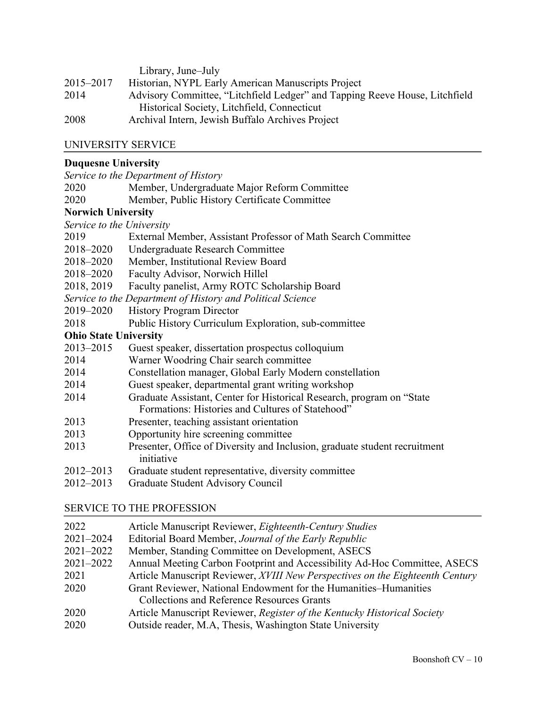|           | Library, June–July                                                          |
|-----------|-----------------------------------------------------------------------------|
| 2015–2017 | Historian, NYPL Early American Manuscripts Project                          |
| 2014      | Advisory Committee, "Litchfield Ledger" and Tapping Reeve House, Litchfield |
|           | Historical Society, Litchfield, Connecticut                                 |
| 2008      | Archival Intern, Jewish Buffalo Archives Project                            |

## UNIVERSITY SERVICE

## **Duquesne University**

|                              | Service to the Department of History                                       |
|------------------------------|----------------------------------------------------------------------------|
| 2020                         | Member, Undergraduate Major Reform Committee                               |
| 2020                         | Member, Public History Certificate Committee                               |
| <b>Norwich University</b>    |                                                                            |
| Service to the University    |                                                                            |
| 2019                         | External Member, Assistant Professor of Math Search Committee              |
| 2018–2020                    | Undergraduate Research Committee                                           |
| 2018–2020                    | Member, Institutional Review Board                                         |
| 2018–2020                    | Faculty Advisor, Norwich Hillel                                            |
| 2018, 2019                   | Faculty panelist, Army ROTC Scholarship Board                              |
|                              | Service to the Department of History and Political Science                 |
| 2019–2020                    | <b>History Program Director</b>                                            |
| 2018                         | Public History Curriculum Exploration, sub-committee                       |
| <b>Ohio State University</b> |                                                                            |
| 2013-2015                    | Guest speaker, dissertation prospectus colloquium                          |
| 2014                         | Warner Woodring Chair search committee                                     |
| 2014                         | Constellation manager, Global Early Modern constellation                   |
| 2014                         | Guest speaker, departmental grant writing workshop                         |
| 2014                         | Graduate Assistant, Center for Historical Research, program on "State      |
|                              | Formations: Histories and Cultures of Statehood"                           |
| 2013                         | Presenter, teaching assistant orientation                                  |
| 2013                         | Opportunity hire screening committee                                       |
| 2013                         | Presenter, Office of Diversity and Inclusion, graduate student recruitment |
|                              | initiative                                                                 |
| 2012-2013                    | Graduate student representative, diversity committee                       |
| $2012 - 2013$                | Graduate Student Advisory Council                                          |

# SERVICE TO THE PROFESSION

| 2022      | Article Manuscript Reviewer, Eighteenth-Century Studies                       |
|-----------|-------------------------------------------------------------------------------|
| 2021-2024 | Editorial Board Member, Journal of the Early Republic                         |
| 2021-2022 | Member, Standing Committee on Development, ASECS                              |
| 2021-2022 | Annual Meeting Carbon Footprint and Accessibility Ad-Hoc Committee, ASECS     |
| 2021      | Article Manuscript Reviewer, XVIII New Perspectives on the Eighteenth Century |
| 2020      | Grant Reviewer, National Endowment for the Humanities–Humanities              |
|           | <b>Collections and Reference Resources Grants</b>                             |
| 2020      | Article Manuscript Reviewer, Register of the Kentucky Historical Society      |
| 2020      | Outside reader, M.A., Thesis, Washington State University                     |